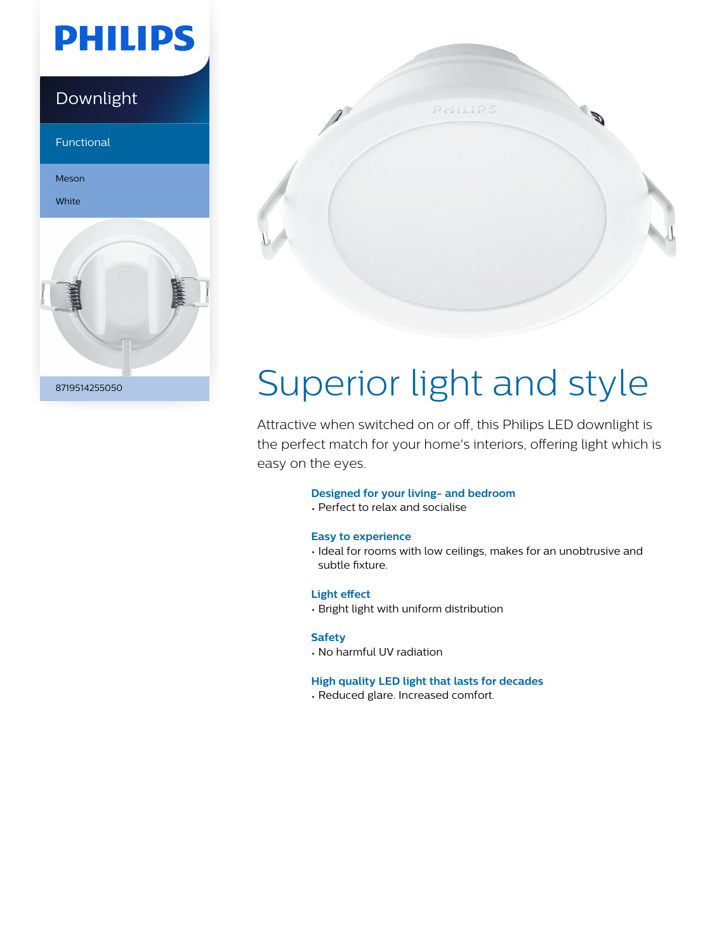# **PHILIPS**

# Downlight Functional





# Superior light and style

Attractive when switched on or off, this Philips LED downlight is the perfect match for your home's interiors, offering light which is easy on the eyes.

#### **Designed for your living- and bedroom**

• Perfect to relax and socialise

#### **Easy to experience**

• Ideal for rooms with low ceilings, makes for an unobtrusive and subtle fixture.

#### **Light effect**

• Bright light with uniform distribution

#### **Safety**

• No harmful UV radiation

#### **High quality LED light that lasts for decades**

• Reduced glare. Increased comfort.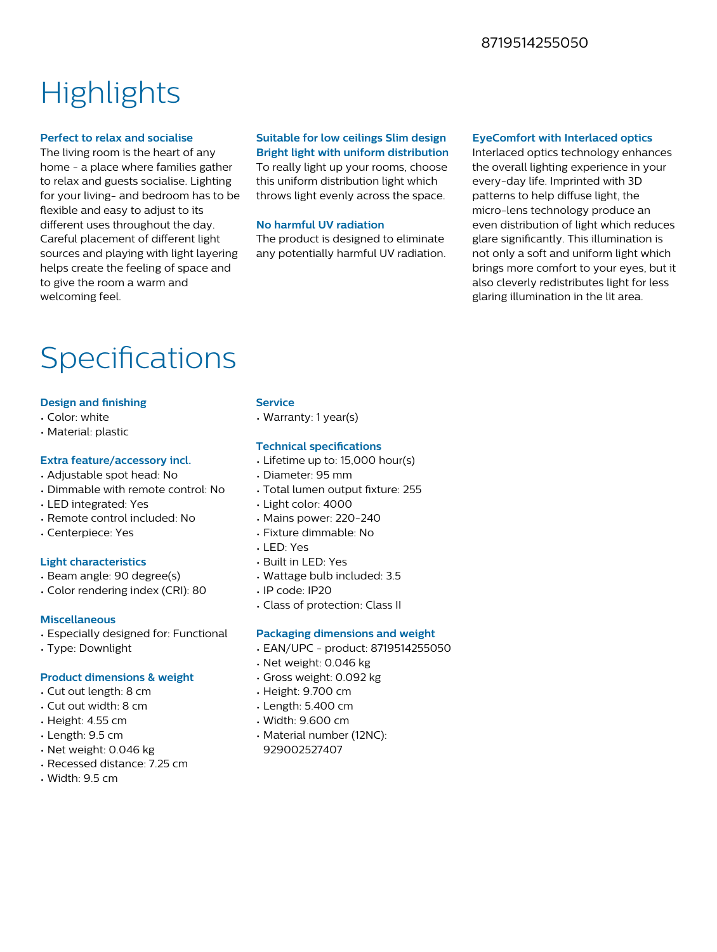### 8719514255050

## **Highlights**

#### **Perfect to relax and socialise**

The living room is the heart of any home - a place where families gather to relax and guests socialise. Lighting for your living- and bedroom has to be flexible and easy to adjust to its different uses throughout the day. Careful placement of different light sources and playing with light layering helps create the feeling of space and to give the room a warm and welcoming feel.

### **Suitable for low ceilings Slim design Bright light with uniform distribution**

To really light up your rooms, choose this uniform distribution light which throws light evenly across the space.

#### **No harmful UV radiation**

The product is designed to eliminate any potentially harmful UV radiation.

#### **EyeComfort with Interlaced optics**

Interlaced optics technology enhances the overall lighting experience in your every-day life. Imprinted with 3D patterns to help diffuse light, the micro-lens technology produce an even distribution of light which reduces glare significantly. This illumination is not only a soft and uniform light which brings more comfort to your eyes, but it also cleverly redistributes light for less glaring illumination in the lit area.

## Specifications

#### **Design and finishing**

- Color: white
- Material: plastic

#### **Extra feature/accessory incl.**

- Adjustable spot head: No
- Dimmable with remote control: No
- LED integrated: Yes
- Remote control included: No
- Centerpiece: Yes

#### **Light characteristics**

- Beam angle: 90 degree(s)
- Color rendering index (CRI): 80

#### **Miscellaneous**

- Especially designed for: Functional
- Type: Downlight

#### **Product dimensions & weight**

- Cut out length: 8 cm
- Cut out width: 8 cm
- Height: 4.55 cm
- Length: 9.5 cm
- Net weight: 0.046 kg
- Recessed distance: 7.25 cm
- $\cdot$  Width: 9.5 cm

#### **Service**

• Warranty: 1 year(s)

#### **Technical specifications**

- Lifetime up to: 15,000 hour(s)
- Diameter: 95 mm
- Total lumen output fixture: 255
- Light color: 4000
- Mains power: 220-240
- Fixture dimmable: No
- LED: Yes
- Built in LED: Yes
- Wattage bulb included: 3.5
- IP code: IP20
- Class of protection: Class II

#### **Packaging dimensions and weight**

- EAN/UPC product: 8719514255050
- Net weight: 0.046 kg
- Gross weight: 0.092 kg
- Height: 9.700 cm
- Length: 5.400 cm
- Width: 9.600 cm
- Material number (12NC): 929002527407